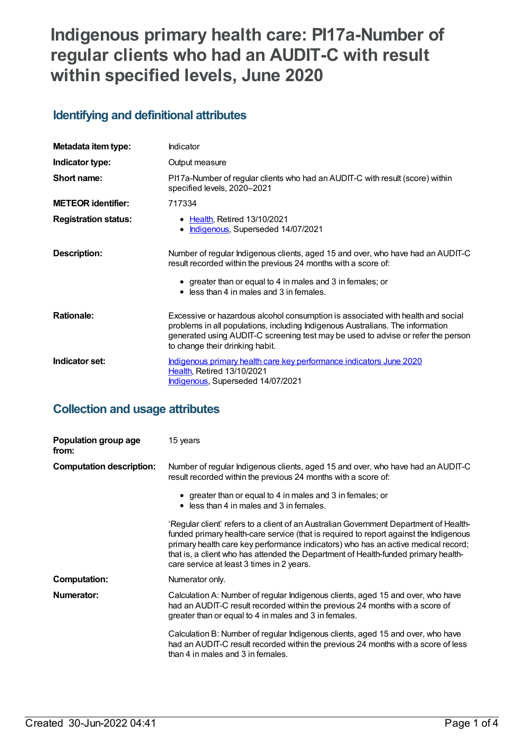# **Indigenous primary health care: PI17a-Number of regular clients who had an AUDIT-C with result within specified levels, June 2020**

### **Identifying and definitional attributes**

| Metadata item type:         | Indicator                                                                                                                                                                                                                                                                                |
|-----------------------------|------------------------------------------------------------------------------------------------------------------------------------------------------------------------------------------------------------------------------------------------------------------------------------------|
| Indicator type:             | Output measure                                                                                                                                                                                                                                                                           |
| Short name:                 | PI17a-Number of regular clients who had an AUDIT-C with result (score) within<br>specified levels, 2020-2021                                                                                                                                                                             |
| <b>METEOR identifier:</b>   | 717334                                                                                                                                                                                                                                                                                   |
| <b>Registration status:</b> | • Health, Retired 13/10/2021<br>• Indigenous, Superseded 14/07/2021                                                                                                                                                                                                                      |
| <b>Description:</b>         | Number of regular Indigenous clients, aged 15 and over, who have had an AUDIT-C<br>result recorded within the previous 24 months with a score of:<br>• greater than or equal to 4 in males and 3 in females; or<br>$\bullet$ less than 4 in males and 3 in females.                      |
| <b>Rationale:</b>           | Excessive or hazardous alcohol consumption is associated with health and social<br>problems in all populations, including Indigenous Australians. The information<br>generated using AUDIT-C screening test may be used to advise or refer the person<br>to change their drinking habit. |
| Indicator set:              | Indigenous primary health care key performance indicators June 2020<br>Health, Retired 13/10/2021<br>Indigenous, Superseded 14/07/2021                                                                                                                                                   |

### **Collection and usage attributes**

| Population group age<br>from:   | 15 years                                                                                                                                                                                                                                                                                                                                                                                               |
|---------------------------------|--------------------------------------------------------------------------------------------------------------------------------------------------------------------------------------------------------------------------------------------------------------------------------------------------------------------------------------------------------------------------------------------------------|
| <b>Computation description:</b> | Number of regular Indigenous clients, aged 15 and over, who have had an AUDIT-C<br>result recorded within the previous 24 months with a score of:                                                                                                                                                                                                                                                      |
|                                 | • greater than or equal to 4 in males and 3 in females; or<br>$\bullet$ less than 4 in males and 3 in females.                                                                                                                                                                                                                                                                                         |
|                                 | 'Regular client' refers to a client of an Australian Government Department of Health-<br>funded primary health-care service (that is required to report against the Indigenous<br>primary health care key performance indicators) who has an active medical record;<br>that is, a client who has attended the Department of Health-funded primary health-<br>care service at least 3 times in 2 years. |
| <b>Computation:</b>             | Numerator only.                                                                                                                                                                                                                                                                                                                                                                                        |
| Numerator:                      | Calculation A: Number of regular Indigenous clients, aged 15 and over, who have<br>had an AUDIT-C result recorded within the previous 24 months with a score of<br>greater than or equal to 4 in males and 3 in females.                                                                                                                                                                               |
|                                 | Calculation B: Number of regular Indigenous clients, aged 15 and over, who have<br>had an AUDIT-C result recorded within the previous 24 months with a score of less<br>than 4 in males and 3 in females.                                                                                                                                                                                              |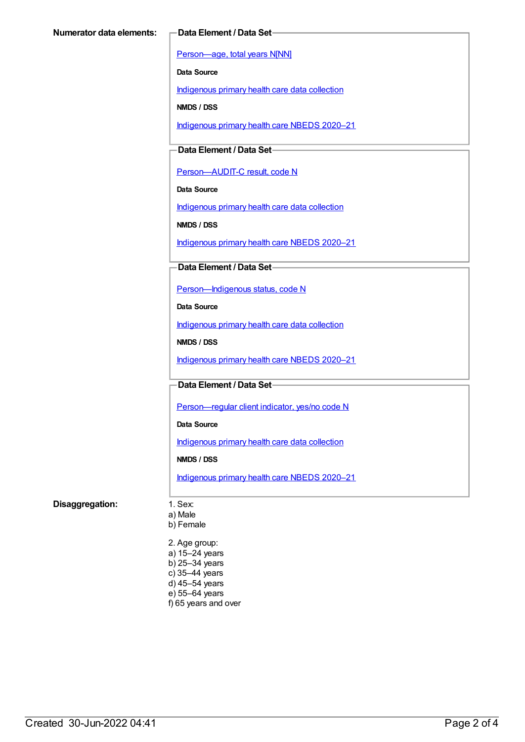[Person—age,](https://meteor.aihw.gov.au/content/303794) total years N[NN]

**Data Source**

[Indigenous](https://meteor.aihw.gov.au/content/430643) primary health care data collection

**NMDS / DSS**

[Indigenous](https://meteor.aihw.gov.au/content/715320) primary health care NBEDS 2020–21

### **Data Element / Data Set**

[Person—AUDIT-C](https://meteor.aihw.gov.au/content/585194) result, code N

**Data Source**

[Indigenous](https://meteor.aihw.gov.au/content/430643) primary health care data collection

**NMDS / DSS**

[Indigenous](https://meteor.aihw.gov.au/content/715320) primary health care NBEDS 2020–21

#### **Data Element / Data Set**

[Person—Indigenous](https://meteor.aihw.gov.au/content/602543) status, code N

**Data Source**

[Indigenous](https://meteor.aihw.gov.au/content/430643) primary health care data collection

**NMDS / DSS**

[Indigenous](https://meteor.aihw.gov.au/content/715320) primary health care NBEDS 2020–21

#### **Data Element / Data Set**

Person-regular client indicator, yes/no code N

**Data Source**

[Indigenous](https://meteor.aihw.gov.au/content/430643) primary health care data collection

#### **NMDS / DSS**

[Indigenous](https://meteor.aihw.gov.au/content/715320) primary health care NBEDS 2020–21

#### **Disaggregation:** 1. Sex:

a) Male

b) Female

2. Age group: a) 15–24 years b) 25–34 years c) 35–44 years d) 45–54 years e) 55–64 years f) 65 years and over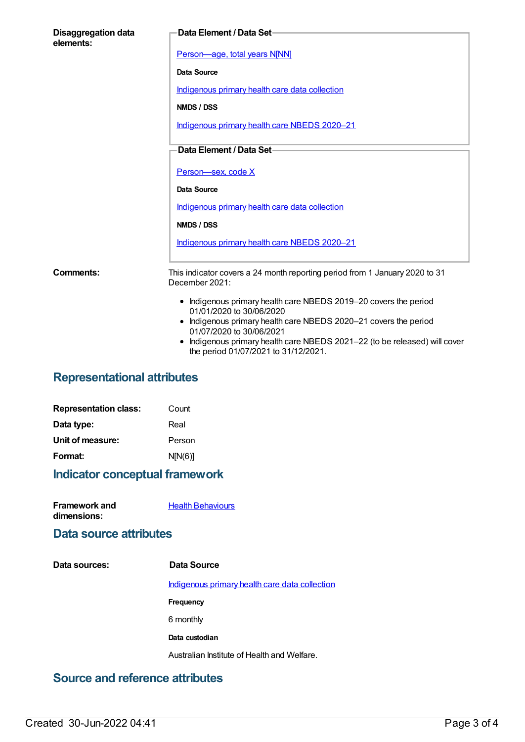| <b>Disaggregation data</b><br>elements: | Data Element / Data Set-                                                                                                                                                                                                                                                                                         |
|-----------------------------------------|------------------------------------------------------------------------------------------------------------------------------------------------------------------------------------------------------------------------------------------------------------------------------------------------------------------|
|                                         | Person-age, total years N[NN]                                                                                                                                                                                                                                                                                    |
|                                         | Data Source                                                                                                                                                                                                                                                                                                      |
|                                         | Indigenous primary health care data collection                                                                                                                                                                                                                                                                   |
|                                         | NMDS / DSS                                                                                                                                                                                                                                                                                                       |
|                                         | Indigenous primary health care NBEDS 2020-21                                                                                                                                                                                                                                                                     |
|                                         | Data Element / Data Set-                                                                                                                                                                                                                                                                                         |
|                                         | Person-sex, code X                                                                                                                                                                                                                                                                                               |
|                                         | Data Source                                                                                                                                                                                                                                                                                                      |
|                                         | Indigenous primary health care data collection                                                                                                                                                                                                                                                                   |
|                                         | NMDS / DSS                                                                                                                                                                                                                                                                                                       |
|                                         | Indigenous primary health care NBEDS 2020-21                                                                                                                                                                                                                                                                     |
| Comments:                               | This indicator covers a 24 month reporting period from 1 January 2020 to 31<br>December 2021:                                                                                                                                                                                                                    |
|                                         | • Indigenous primary health care NBEDS 2019-20 covers the period<br>01/01/2020 to 30/06/2020<br>• Indigenous primary health care NBEDS 2020-21 covers the period<br>01/07/2020 to 30/06/2021<br>Indigenous primary health care NBEDS 2021-22 (to be released) will cover<br>the period 01/07/2021 to 31/12/2021. |

### **Representational attributes**

| Count   |
|---------|
| Real    |
| Person  |
| N[N(6)] |
|         |

## **Indicator conceptual framework**

| <b>Framework and</b> | <b>Health Behaviours</b> |
|----------------------|--------------------------|
| dimensions:          |                          |

### **Data source attributes**

| Data sources: | Data Source                                    |
|---------------|------------------------------------------------|
|               | Indigenous primary health care data collection |
|               | Frequency                                      |
|               | 6 monthly                                      |
|               | Data custodian                                 |
|               | Australian Institute of Health and Welfare.    |
|               |                                                |

### **Source and reference attributes**